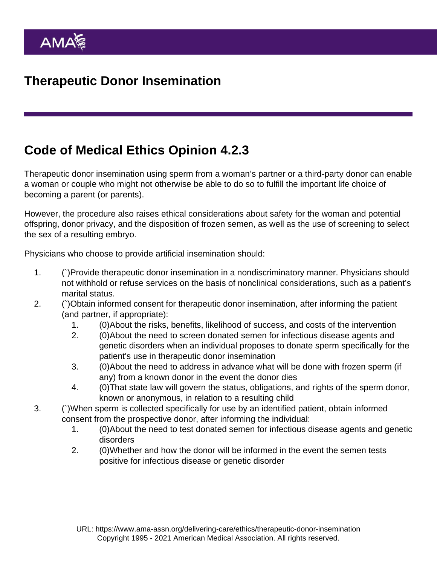## Code of Medical Ethics Opinion 4.2.3

Therapeutic donor insemination using sperm from a woman's partner or a third-party donor can enable a woman or couple who might not otherwise be able to do so to fulfill the important life choice of becoming a parent (or parents).

However, the procedure also raises ethical considerations about safety for the woman and potential offspring, donor privacy, and the disposition of frozen semen, as well as the use of screening to select the sex of a resulting embryo.

Physicians who choose to provide artificial insemination should:

- 1. (`)Provide therapeutic donor insemination in a nondiscriminatory manner. Physicians should not withhold or refuse services on the basis of nonclinical considerations, such as a patient's marital status.
- 2. (`)Obtain informed consent for therapeutic donor insemination, after informing the patient (and partner, if appropriate):
	- 1. (0)About the risks, benefits, likelihood of success, and costs of the intervention
	- 2. (0)About the need to screen donated semen for infectious disease agents and genetic disorders when an individual proposes to donate sperm specifically for the patient's use in therapeutic donor insemination
	- 3. (0)About the need to address in advance what will be done with frozen sperm (if any) from a known donor in the event the donor dies
	- 4. (0)That state law will govern the status, obligations, and rights of the sperm donor, known or anonymous, in relation to a resulting child
- 3. (`)When sperm is collected specifically for use by an identified patient, obtain informed consent from the prospective donor, after informing the individual:
	- 1. (0)About the need to test donated semen for infectious disease agents and genetic disorders
	- 2. (0)Whether and how the donor will be informed in the event the semen tests positive for infectious disease or genetic disorder